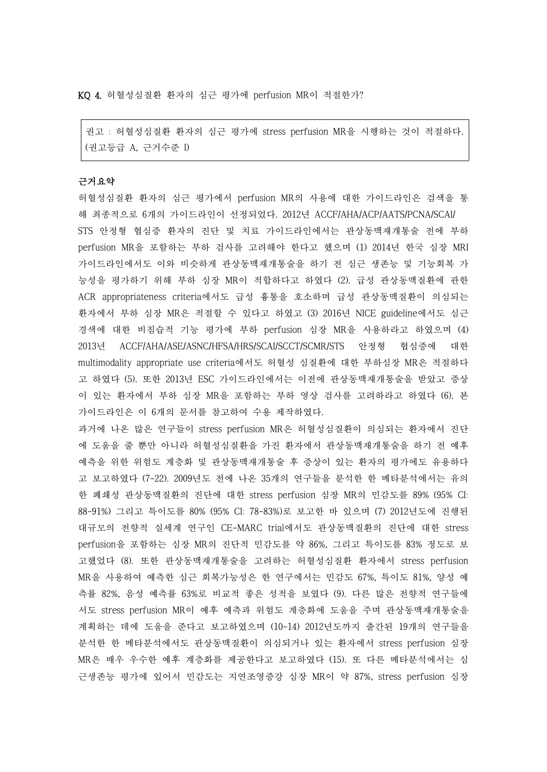KQ 4. 허혈성심질환 환자의 심근 평가에 perfusion MR이 적절한가?

권고 : 허혈성심질환 환자의 심근 평가에 stress perfusion MR을 시행하는 것이 적절하다. (권고등급 A, 근거수준 I)

# 근거요약

허혈성심질환 환자의 심근 평가에서 perfusion MR의 사용에 대한 가이드라인은 검색을 통 해 최종적으로 6개의 가이드라인이 선정되었다. 2012년 ACCF/AHA/ACP/AATS/PCNA/SCAI/ STS 안정형 협심증 환자의 진단 및 치료 가이드라인에서는 관상동맥재개통술 전에 부하 perfusion MR을 포함하는 부하 검사를 고려해야 한다고 했으며 (1) 2014년 한국 심장 MRI 가이드라인에서도 이와 비슷하게 관상동맥재개통술을 하기 전 심근 생존능 및 기능회복 가 능성을 평가하기 위해 부하 심장 MR이 적합하다고 하였다 (2). 급성 관상동맥질환에 관한 ACR appropriateness criteria에서도 급성 흉통을 호소하며 급성 관상동맥질환이 의심되는 환자에서 부하 심장 MR은 적절할 수 있다고 하였고 (3) 2016년 NICE guideline에서도 심근 경색에 대한 비침습적 기능 평가에 부하 perfusion 심장 MR을 사용하라고 하였으며 (4) 2013년 ACCF/AHA/ASE/ASNC/HFSA/HRS/SCAI/SCCT/SCMR/STS 안정형 협심증에 대한 multimodality appropriate use criteria에서도 허혈성 심질환에 대한 부하심장 MR은 적절하다 고 하였다 (5). 또한 2013년 ESC 가이드라인에서는 이전에 관상동맥재개통술을 받았고 증상 이 있는 환자에서 부하 심장 MR을 포함하는 부하 영상 검사를 고려하라고 하였다 (6). 본 가이드라인은 이 6개의 문서를 참고하여 수용 제작하였다.

과거에 나온 많은 연구들이 stress perfusion MR은 허혈성심질환이 의심되는 환자에서 진단 에 도움을 줄 뿐만 아니라 허혈성심질환을 가진 환자에서 관상동맥재개통술을 하기 전 예후 예측을 위한 위험도 계층화 및 관상동맥재개통술 후 증상이 있는 환자의 평가에도 유용하다 고 보고하였다 (7-22). 2009년도 전에 나온 35개의 연구들을 분석한 한 메타분석에서는 유의 한 폐쇄성 관상동맥질환의 진단에 대한 stress perfusion 심장 MR의 민감도를 89% (95% CI: 88-91%) 그리고 특이도를 80% (95% CI: 78-83%)로 보고한 바 있으며 (7) 2012년도에 진행된 대규모의 전향적 실세계 연구인 CE-MARC trial에서도 관상동맥질환의 진단에 대한 stress perfusion을 포함하는 심장 MR의 진단적 민감도를 약 86%, 그리고 특이도를 83% 정도로 보 고했었다 (8). 또한 관상동맥재개통술을 고려하는 허혈성심질환 환자에서 stress perfusion MR을 사용하여 예측한 심근 회복가능성은 한 연구에서는 민감도 67%, 특이도 81%, 양성 예 측률 82%, 음성 예측률 63%로 비교적 좋은 성적을 보였다 (9). 다른 많은 전향적 연구들에 서도 stress perfusion MR이 예후 예측과 위험도 계층화에 도움을 주며 관상동맥재개통술을 계획하는 데에 도움을 준다고 보고하였으며 (10-14) 2012년도까지 출간된 19개의 연구들을 분석한 한 메타분석에서도 관상동맥질환이 의심되거나 있는 환자에서 stress perfusion 심장 MR은 매우 우수한 예후 계층화를 제공한다고 보고하였다 (15). 또 다른 메타분석에서는 심 근생존능 평가에 있어서 민감도는 지연조영증강 심장 MR이 약 87%, stress perfusion 심장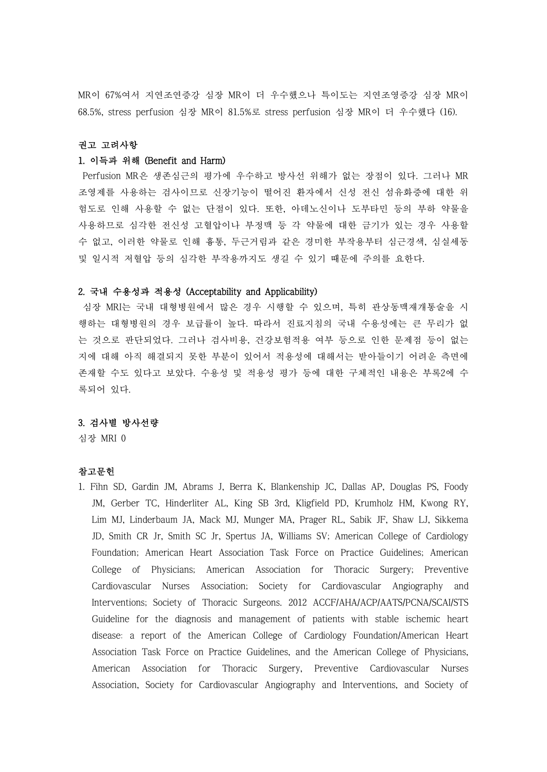MR이 67%여서 지연조연증강 심장 MR이 더 우수했으나 특이도는 지연조영증강 심장 MR이 68.5%, stress perfusion 심장 MR이 81.5%로 stress perfusion 심장 MR이 더 우수했다 (16).

# 권고 고려사항

#### 1. 이득과 위해 (Benefit and Harm)

Perfusion MR은 생존심근의 평가에 우수하고 방사선 위해가 없는 장점이 있다. 그러나 MR 조영제를 사용하는 검사이므로 신장기능이 떨어진 환자에서 신성 전신 섬유화증에 대한 위 험도로 인해 사용할 수 없는 단점이 있다. 또한, 아데노신이나 도부타민 등의 부하 약물을 사용하므로 심각한 전신성 고혈압이나 부정맥 등 각 약물에 대한 금기가 있는 경우 사용할 수 없고, 이러한 약물로 인해 흉통, 두근거림과 같은 경미한 부작용부터 심근경색, 심실세동 및 일시적 저혈압 등의 심각한 부작용까지도 생길 수 있기 때문에 주의를 요한다.

### 2. 국내 수용성과 적용성 (Acceptability and Applicability)

심장 MRI는 국내 대형병원에서 많은 경우 시행할 수 있으며, 특히 관상동맥재개통술을 시 행하는 대형병원의 경우 보급률이 높다. 따라서 진료지침의 국내 수용성에는 큰 무리가 없 는 것으로 판단되었다. 그러나 검사비용, 건강보험적용 여부 등으로 인한 문제점 등이 없는 지에 대해 아직 해결되지 못한 부분이 있어서 적용성에 대해서는 받아들이기 어려운 측면에 존재할 수도 있다고 보았다. 수용성 및 적용성 평가 등에 대한 구체적인 내용은 부록2에 수 록되어 있다.

## 3. 검사별 방사선량

심장 MRI 0

## 참고문헌

1. Fihn SD, Gardin JM, Abrams J, Berra K, Blankenship JC, Dallas AP, Douglas PS, Foody JM, Gerber TC, Hinderliter AL, King SB 3rd, Kligfield PD, Krumholz HM, Kwong RY, Lim MJ, Linderbaum JA, Mack MJ, Munger MA, Prager RL, Sabik JF, Shaw LJ, Sikkema JD, Smith CR Jr, Smith SC Jr, Spertus JA, Williams SV; American College of Cardiology Foundation; American Heart Association Task Force on Practice Guidelines; American College of Physicians; American Association for Thoracic Surgery; Preventive Cardiovascular Nurses Association; Society for Cardiovascular Angiography and Interventions; Society of Thoracic Surgeons. 2012 ACCF/AHA/ACP/AATS/PCNA/SCAI/STS Guideline for the diagnosis and management of patients with stable ischemic heart disease: a report of the American College of Cardiology Foundation/American Heart Association Task Force on Practice Guidelines, and the American College of Physicians, American Association for Thoracic Surgery, Preventive Cardiovascular Nurses Association, Society for Cardiovascular Angiography and Interventions, and Society of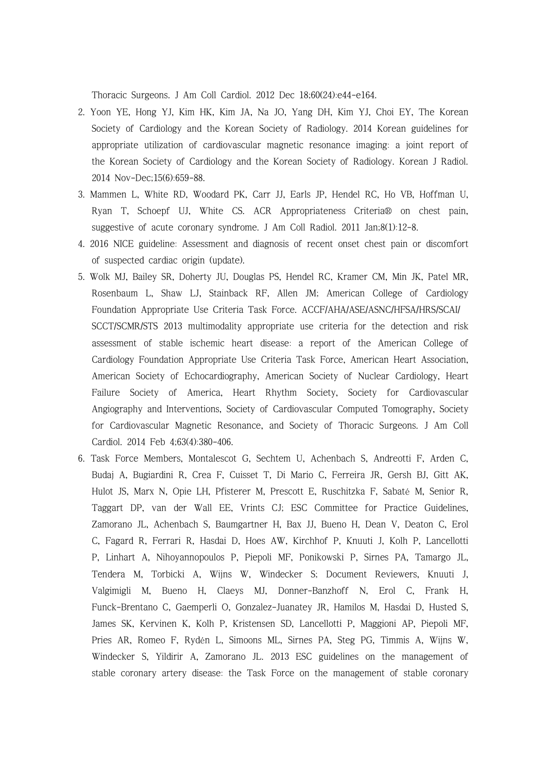Thoracic Surgeons. J Am Coll Cardiol. 2012 Dec 18;60(24):e44-e164.

- 2. Yoon YE, Hong YJ, Kim HK, Kim JA, Na JO, Yang DH, Kim YJ, Choi EY, The Korean Society of Cardiology and the Korean Society of Radiology. 2014 Korean guidelines for appropriate utilization of cardiovascular magnetic resonance imaging: a joint report of the Korean Society of Cardiology and the Korean Society of Radiology. Korean J Radiol. 2014 Nov-Dec;15(6):659-88.
- 3. Mammen L, White RD, Woodard PK, Carr JJ, Earls JP, Hendel RC, Ho VB, Hoffman U, Ryan T, Schoepf UJ, White CS. ACR Appropriateness Criteria® on chest pain, suggestive of acute coronary syndrome. J Am Coll Radiol. 2011 Jan;8(1):12-8.
- 4. 2016 NICE guideline: Assessment and diagnosis of recent onset chest pain or discomfort of suspected cardiac origin (update).
- 5. Wolk MJ, Bailey SR, Doherty JU, Douglas PS, Hendel RC, Kramer CM, Min JK, Patel MR, Rosenbaum L, Shaw LJ, Stainback RF, Allen JM; American College of Cardiology Foundation Appropriate Use Criteria Task Force. ACCF/AHA/ASE/ASNC/HFSA/HRS/SCAI/ SCCT/SCMR/STS 2013 multimodality appropriate use criteria for the detection and risk assessment of stable ischemic heart disease: a report of the American College of Cardiology Foundation Appropriate Use Criteria Task Force, American Heart Association, American Society of Echocardiography, American Society of Nuclear Cardiology, Heart Failure Society of America, Heart Rhythm Society, Society for Cardiovascular Angiography and Interventions, Society of Cardiovascular Computed Tomography, Society for Cardiovascular Magnetic Resonance, and Society of Thoracic Surgeons. J Am Coll Cardiol. 2014 Feb 4;63(4):380-406.
- 6. Task Force Members, Montalescot G, Sechtem U, Achenbach S, Andreotti F, Arden C, Budaj A, Bugiardini R, Crea F, Cuisset T, Di Mario C, Ferreira JR, Gersh BJ, Gitt AK, Hulot JS, Marx N, Opie LH, Pfisterer M, Prescott E, Ruschitzka F, Sabaté M, Senior R, Taggart DP, van der Wall EE, Vrints CJ; ESC Committee for Practice Guidelines, Zamorano JL, Achenbach S, Baumgartner H, Bax JJ, Bueno H, Dean V, Deaton C, Erol C, Fagard R, Ferrari R, Hasdai D, Hoes AW, Kirchhof P, Knuuti J, Kolh P, Lancellotti P, Linhart A, Nihoyannopoulos P, Piepoli MF, Ponikowski P, Sirnes PA, Tamargo JL, Tendera M, Torbicki A, Wijns W, Windecker S; Document Reviewers, Knuuti J, Valgimigli M, Bueno H, Claeys MJ, Donner-Banzhoff N, Erol C, Frank H, Funck-Brentano C, Gaemperli O, Gonzalez-Juanatey JR, Hamilos M, Hasdai D, Husted S, James SK, Kervinen K, Kolh P, Kristensen SD, Lancellotti P, Maggioni AP, Piepoli MF, Pries AR, Romeo F, Rydén L, Simoons ML, Sirnes PA, Steg PG, Timmis A, Wijns W, Windecker S, Yildirir A, Zamorano JL. 2013 ESC guidelines on the management of stable coronary artery disease: the Task Force on the management of stable coronary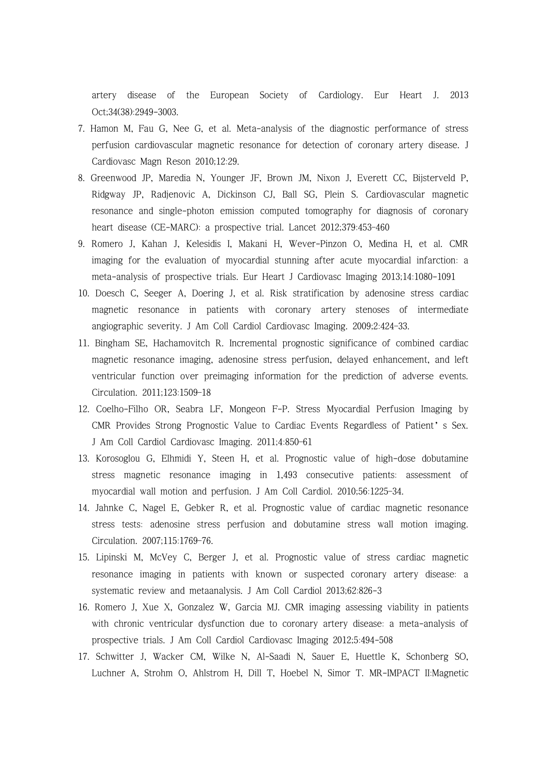artery disease of the European Society of Cardiology. Eur Heart J. 2013 Oct;34(38):2949-3003.

- 7. Hamon M, Fau G, Nee G, et al. Meta-analysis of the diagnostic performance of stress perfusion cardiovascular magnetic resonance for detection of coronary artery disease. J Cardiovasc Magn Reson 2010;12:29.
- 8. Greenwood JP, Maredia N, Younger JF, Brown JM, Nixon J, Everett CC, Bijsterveld P, Ridgway JP, Radjenovic A, Dickinson CJ, Ball SG, Plein S. Cardiovascular magnetic resonance and single-photon emission computed tomography for diagnosis of coronary heart disease (CE-MARC): a prospective trial. Lancet 2012;379:453–460
- 9. Romero J, Kahan J, Kelesidis I, Makani H, Wever-Pinzon O, Medina H, et al. CMR imaging for the evaluation of myocardial stunning after acute myocardial infarction: a meta-analysis of prospective trials. Eur Heart J Cardiovasc Imaging 2013;14:1080-1091
- 10. Doesch C, Seeger A, Doering J, et al. Risk stratification by adenosine stress cardiac magnetic resonance in patients with coronary artery stenoses of intermediate angiographic severity. J Am Coll Cardiol Cardiovasc Imaging. 2009;2:424–33.
- 11. Bingham SE, Hachamovitch R. Incremental prognostic significance of combined cardiac magnetic resonance imaging, adenosine stress perfusion, delayed enhancement, and left ventricular function over preimaging information for the prediction of adverse events. Circulation. 2011;123:1509–18
- 12. Coelho-Filho OR, Seabra LF, Mongeon F-P. Stress Myocardial Perfusion Imaging by CMR Provides Strong Prognostic Value to Cardiac Events Regardless of Patient's Sex. J Am Coll Cardiol Cardiovasc Imaging. 2011;4:850–61
- 13. Korosoglou G, Elhmidi Y, Steen H, et al. Prognostic value of high-dose dobutamine stress magnetic resonance imaging in 1,493 consecutive patients: assessment of myocardial wall motion and perfusion. J Am Coll Cardiol. 2010;56:1225–34.
- 14. Jahnke C, Nagel E, Gebker R, et al. Prognostic value of cardiac magnetic resonance stress tests: adenosine stress perfusion and dobutamine stress wall motion imaging. Circulation. 2007;115:1769–76.
- 15. Lipinski M, McVey C, Berger J, et al. Prognostic value of stress cardiac magnetic resonance imaging in patients with known or suspected coronary artery disease: a systematic review and metaanalysis. J Am Coll Cardiol 2013;62:826-3
- 16. Romero J, Xue X, Gonzalez W, Garcia MJ. CMR imaging assessing viability in patients with chronic ventricular dysfunction due to coronary artery disease: a meta-analysis of prospective trials. J Am Coll Cardiol Cardiovasc Imaging 2012;5:494-508
- 17. Schwitter J, Wacker CM, Wilke N, Al-Saadi N, Sauer E, Huettle K, Schonberg SO, Luchner A, Strohm O, Ahlstrom H, Dill T, Hoebel N, Simor T. MR-IMPACT II:Magnetic